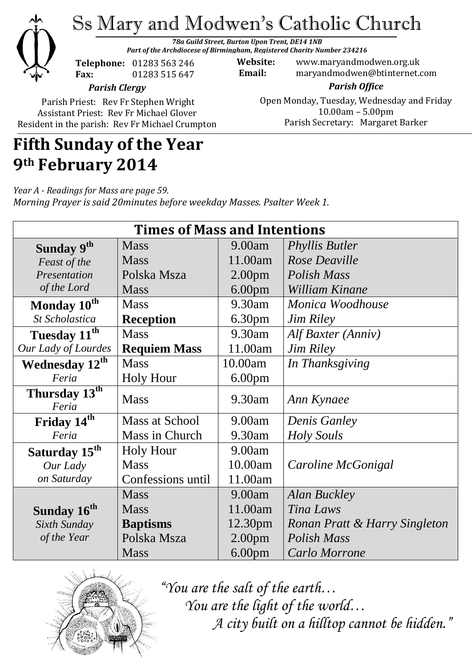

# Ss Mary and Modwen's Catholic Church

*78a Guild Street, Burton Upon Trent, DE14 1NB Part of the Archdiocese of Birmingham, Registered Charity Number 234216*

**Telephone:** 01283 563 246 **Fax:** 01283 515 647

**Website:** www.maryandmodwen.org.uk **Email:** maryandmodwen@btinternet.com

> *Parish Office* Open Monday, Tuesday, Wednesday and Friday 10.00am – 5.00pm Parish Secretary:Margaret Barker

*Parish Clergy*

Parish Priest: Rev Fr Stephen Wright Assistant Priest: Rev Fr Michael Glover Resident in the parish: Rev Fr Michael Crumpton

## **Fifth Sunday of the Year 9th February 2014**

*Year A - Readings for Mass are page 59. Morning Prayer is said 20minutes before weekday Masses. Psalter Week 1.*

| <b>Times of Mass and Intentions</b> |                       |                    |                               |
|-------------------------------------|-----------------------|--------------------|-------------------------------|
| Sunday 9th                          | <b>Mass</b>           | 9.00am             | <b>Phyllis Butler</b>         |
| Feast of the                        | <b>Mass</b>           | 11.00am            | Rose Deaville                 |
| Presentation                        | Polska Msza           | 2.00 <sub>pm</sub> | Polish Mass                   |
| of the Lord                         | <b>Mass</b>           | 6.00 <sub>pm</sub> | William Kinane                |
| Monday 10 <sup>th</sup>             | <b>Mass</b>           | 9.30am             | Monica Woodhouse              |
| St Scholastica                      | <b>Reception</b>      | 6.30 <sub>pm</sub> | <b>Jim Riley</b>              |
| Tuesday 11 <sup>th</sup>            | <b>Mass</b>           | 9.30am             | Alf Baxter (Anniv)            |
| Our Lady of Lourdes                 | <b>Requiem Mass</b>   | 11.00am            | <b>Jim Riley</b>              |
| Wednesday 12 <sup>th</sup>          | <b>Mass</b>           | 10.00am            | In Thanksgiving               |
| Feria                               | <b>Holy Hour</b>      | 6.00 <sub>pm</sub> |                               |
| Thursday 13 <sup>th</sup><br>Feria  | <b>Mass</b>           | 9.30am             | Ann Kynaee                    |
| Friday 14th                         | <b>Mass at School</b> | 9.00am             | <b>Denis Ganley</b>           |
| Feria                               | Mass in Church        | 9.30am             | <b>Holy Souls</b>             |
| Saturday 15 <sup>th</sup>           | <b>Holy Hour</b>      | 9.00am             |                               |
| Our Lady                            | <b>Mass</b>           | 10.00am            | Caroline McGonigal            |
| on Saturday                         | Confessions until     | 11.00am            |                               |
|                                     | <b>Mass</b>           | 9.00am             | <b>Alan Buckley</b>           |
| Sunday 16 <sup>th</sup>             | <b>Mass</b>           | 11.00am            | Tina Laws                     |
| Sixth Sunday                        | <b>Baptisms</b>       | 12.30pm            | Ronan Pratt & Harry Singleton |
| of the Year                         | Polska Msza           | 2.00 <sub>pm</sub> | Polish Mass                   |
|                                     | <b>Mass</b>           | 6.00 <sub>pm</sub> | Carlo Morrone                 |



*"You are the salt of the earth… You are the light of the world… A city built on a hilltop cannot be hidden."*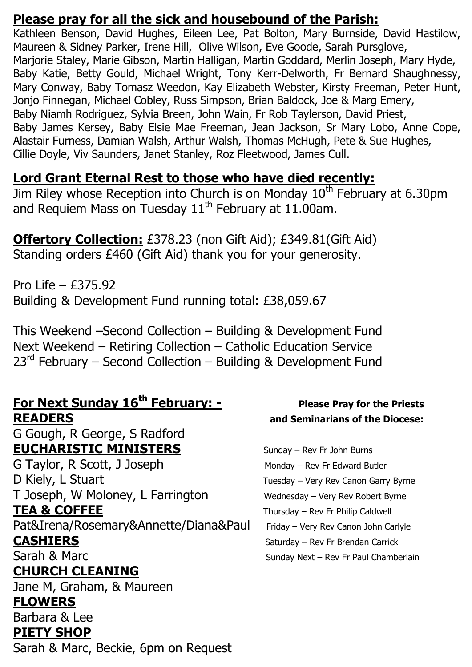### **Please pray for all the sick and housebound of the Parish:**

Kathleen Benson, David Hughes, Eileen Lee, Pat Bolton, Mary Burnside, David Hastilow, Maureen & Sidney Parker, Irene Hill, Olive Wilson, Eve Goode, Sarah Pursglove, Marjorie Staley, Marie Gibson, Martin Halligan, Martin Goddard, Merlin Joseph, Mary Hyde, Baby Katie, Betty Gould, Michael Wright, Tony Kerr-Delworth, Fr Bernard Shaughnessy, Mary Conway, Baby Tomasz Weedon, Kay Elizabeth Webster, Kirsty Freeman, Peter Hunt, Jonjo Finnegan, Michael Cobley, Russ Simpson, Brian Baldock, Joe & Marg Emery, Baby Niamh Rodriguez, Sylvia Breen, John Wain, Fr Rob Taylerson, David Priest, Baby James Kersey, Baby Elsie Mae Freeman, Jean Jackson, Sr Mary Lobo, Anne Cope, Alastair Furness, Damian Walsh, Arthur Walsh, Thomas McHugh, Pete & Sue Hughes, Cillie Doyle, Viv Saunders, Janet Stanley, Roz Fleetwood, James Cull.

### **Lord Grant Eternal Rest to those who have died recently:**

Jim Riley whose Reception into Church is on Monday 10<sup>th</sup> February at 6.30pm and Requiem Mass on Tuesday  $11<sup>th</sup>$  February at 11.00am.

**Offertory Collection:** £378.23 (non Gift Aid); £349.81(Gift Aid) Standing orders £460 (Gift Aid) thank you for your generosity.

Pro Life – £375.92 Building & Development Fund running total: £38,059.67

This Weekend –Second Collection – Building & Development Fund Next Weekend – Retiring Collection – Catholic Education Service  $23<sup>rd</sup>$  February – Second Collection – Building & Development Fund

### **For Next Sunday 16<sup>th</sup> February: -** Please Pray for the Priests **READERS and Seminarians of the Diocese:**

G Gough, R George, S Radford **EUCHARISTIC MINISTERS** Sunday – Rev Fr John Burns

G Taylor, R Scott, J Joseph Monday – Rev Fr Edward Butler D Kiely, L Stuart Tuesday – Very Rev Canon Garry Byrne T Joseph, W Moloney, L Farrington Wednesday – Very Rev Robert Byrne **TEA & COFFEE** Thursday – Rev Fr Philip Caldwell Pat&Irena/Rosemary&Annette/Diana&Paul Friday – Very Rev Canon John Carlyle

### **CHURCH CLEANING**

Jane M, Graham, & Maureen

### **FLOWERS**

Barbara & Lee

### **PIETY SHOP**

Sarah & Marc, Beckie, 6pm on Request

**CASHIERS** Saturday – Rev Fr Brendan Carrick Sarah & Marc Sunday Next – Rev Fr Paul Chamberlain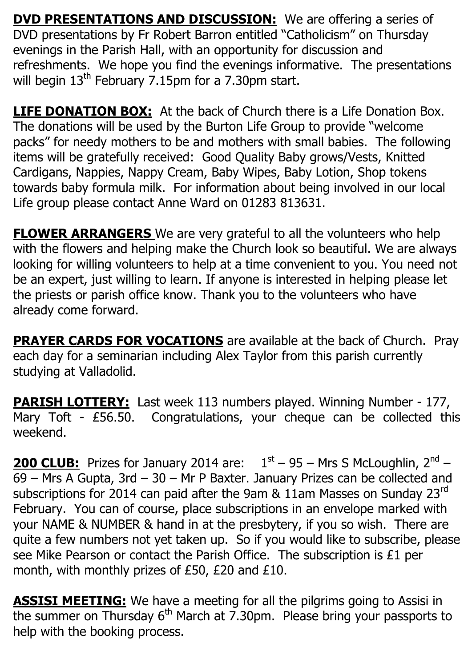**DVD PRESENTATIONS AND DISCUSSION:** We are offering a series of DVD presentations by Fr Robert Barron entitled "Catholicism" on Thursday evenings in the Parish Hall, with an opportunity for discussion and refreshments. We hope you find the evenings informative. The presentations will begin  $13<sup>th</sup>$  February 7.15pm for a 7.30pm start.

**LIFE DONATION BOX:** At the back of Church there is a Life Donation Box. The donations will be used by the Burton Life Group to provide "welcome packs" for needy mothers to be and mothers with small babies. The following items will be gratefully received: Good Quality Baby grows/Vests, Knitted Cardigans, Nappies, Nappy Cream, Baby Wipes, Baby Lotion, Shop tokens towards baby formula milk. For information about being involved in our local Life group please contact Anne Ward on 01283 813631.

**FLOWER ARRANGERS** We are very grateful to all the volunteers who help with the flowers and helping make the Church look so beautiful. We are always looking for willing volunteers to help at a time convenient to you. You need not be an expert, just willing to learn. If anyone is interested in helping please let the priests or parish office know. Thank you to the volunteers who have already come forward.

**PRAYER CARDS FOR VOCATIONS** are available at the back of Church. Pray each day for a seminarian including Alex Taylor from this parish currently studying at Valladolid.

**PARISH LOTTERY:** Last week 113 numbers played. Winning Number - 177, Mary Toft - £56.50. Congratulations, your cheque can be collected this weekend.

**200 CLUB:** Prizes for January 2014 are:  $1<sup>st</sup> - 95 - Mrs S McLoughlin, 2<sup>nd</sup> -$ 69 – Mrs A Gupta, 3rd – 30 – Mr P Baxter. January Prizes can be collected and subscriptions for 2014 can paid after the 9am & 11am Masses on Sunday 23<sup>rd</sup> February. You can of course, place subscriptions in an envelope marked with your NAME & NUMBER & hand in at the presbytery, if you so wish. There are quite a few numbers not yet taken up. So if you would like to subscribe, please see Mike Pearson or contact the Parish Office. The subscription is £1 per month, with monthly prizes of £50, £20 and £10.

**ASSISI MEETING:** We have a meeting for all the pilgrims going to Assisi in the summer on Thursday  $6<sup>th</sup>$  March at 7.30pm. Please bring your passports to help with the booking process.